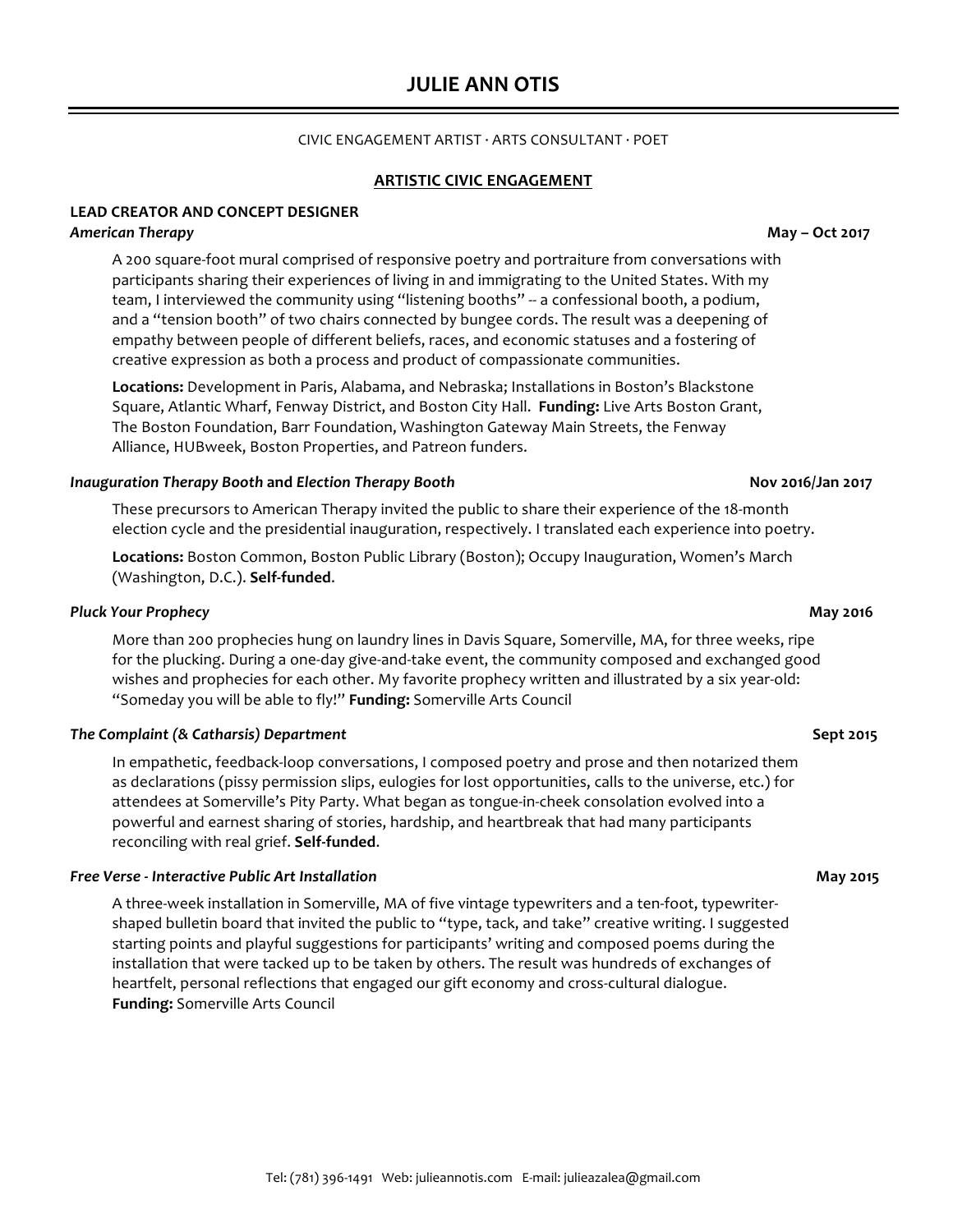# **JULIE ANN OTIS**

## CIVIC ENGAGEMENT ARTIST  $\cdot$  ARTS CONSULTANT  $\cdot$  POET

## **ARTISTIC CIVIC ENGAGEMENT**

## **LEAD CREATOR AND CONCEPT DESIGNER**

## *American Therapy* **May – Oct 2017**

A 200 square-foot mural comprised of responsive poetry and portraiture from conversations with participants sharing their experiences of living in and immigrating to the United States. With my team, I interviewed the community using "listening booths" -- a confessional booth, a podium, and a "tension booth" of two chairs connected by bungee cords. The result was a deepening of empathy between people of different beliefs, races, and economic statuses and a fostering of creative expression as both a process and product of compassionate communities.

Locations: Development in Paris, Alabama, and Nebraska; Installations in Boston's Blackstone Square, Atlantic Wharf, Fenway District, and Boston City Hall. Funding: Live Arts Boston Grant, The Boston Foundation, Barr Foundation, Washington Gateway Main Streets, the Fenway Alliance, HUBweek, Boston Properties, and Patreon funders.

### *Inauguration Therapy Booth* **and** *Election Therapy Booth*  **Nov 2016/Jan 2017**

These precursors to American Therapy invited the public to share their experience of the 18-month election cycle and the presidential inauguration, respectively. I translated each experience into poetry.

Locations: Boston Common, Boston Public Library (Boston); Occupy Inauguration, Women's March (Washington, D.C.). **Self-funded**.

### **Pluck Your Prophecy and the set of the set of the set of the set of the set of the set of the set of the set of the set of the set of the set of the set of the set of the set of the set of the set of the set of the set**

More than 200 prophecies hung on laundry lines in Davis Square, Somerville, MA, for three weeks, ripe for the plucking. During a one-day give-and-take event, the community composed and exchanged good wishes and prophecies for each other. My favorite prophecy written and illustrated by a six year-old: "Someday you will be able to fly!" Funding: Somerville Arts Council

### *The Complaint (& Catharsis) Department*  **Sept 2015**

In empathetic, feedback-loop conversations, I composed poetry and prose and then notarized them as declarations (pissy permission slips, eulogies for lost opportunities, calls to the universe, etc.) for attendees at Somerville's Pity Party. What began as tongue-in-cheek consolation evolved into a powerful and earnest sharing of stories, hardship, and heartbreak that had many participants reconciling with real grief. Self-funded.

## *Free Verse - Interactive Public Art Installation*  **May 2015**

A three-week installation in Somerville, MA of five vintage typewriters and a ten-foot, typewritershaped bulletin board that invited the public to "type, tack, and take" creative writing. I suggested starting points and playful suggestions for participants' writing and composed poems during the installation that were tacked up to be taken by others. The result was hundreds of exchanges of heartfelt, personal reflections that engaged our gift economy and cross-cultural dialogue. **Funding:** Somerville Arts Council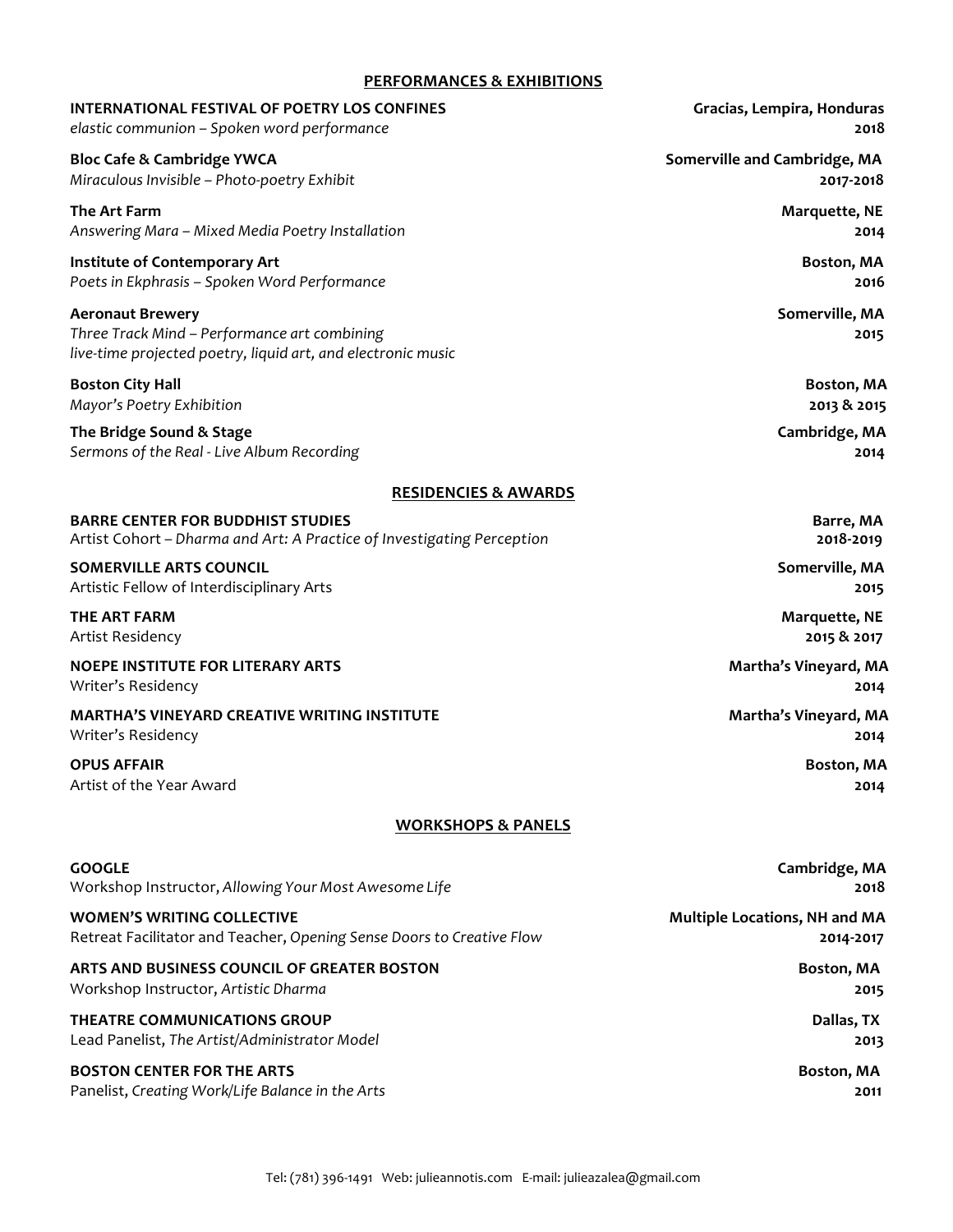# **PERFORMANCES & EXHIBITIONS**

| <b>INTERNATIONAL FESTIVAL OF POETRY LOS CONFINES</b>                                                                                    | Gracias, Lempira, Honduras    |
|-----------------------------------------------------------------------------------------------------------------------------------------|-------------------------------|
| elastic communion - Spoken word performance                                                                                             | 2018                          |
| <b>Bloc Cafe &amp; Cambridge YWCA</b>                                                                                                   | Somerville and Cambridge, MA  |
| Miraculous Invisible - Photo-poetry Exhibit                                                                                             | 2017-2018                     |
| The Art Farm                                                                                                                            | Marquette, NE                 |
| Answering Mara - Mixed Media Poetry Installation                                                                                        | 2014                          |
| Institute of Contemporary Art                                                                                                           | Boston, MA                    |
| Poets in Ekphrasis - Spoken Word Performance                                                                                            | 2016                          |
| <b>Aeronaut Brewery</b><br>Three Track Mind - Performance art combining<br>live-time projected poetry, liquid art, and electronic music | Somerville, MA<br>2015        |
| <b>Boston City Hall</b>                                                                                                                 | Boston, MA                    |
| Mayor's Poetry Exhibition                                                                                                               | 2013 & 2015                   |
| The Bridge Sound & Stage                                                                                                                | Cambridge, MA                 |
| Sermons of the Real - Live Album Recording                                                                                              | 2014                          |
| <b>RESIDENCIES &amp; AWARDS</b>                                                                                                         |                               |
| <b>BARRE CENTER FOR BUDDHIST STUDIES</b>                                                                                                | Barre, MA                     |
| Artist Cohort - Dharma and Art: A Practice of Investigating Perception                                                                  | 2018-2019                     |
| <b>SOMERVILLE ARTS COUNCIL</b>                                                                                                          | Somerville, MA                |
| Artistic Fellow of Interdisciplinary Arts                                                                                               | 2015                          |
| THE ART FARM                                                                                                                            | <b>Marquette, NE</b>          |
| Artist Residency                                                                                                                        | 2015 & 2017                   |
| <b>NOEPE INSTITUTE FOR LITERARY ARTS</b>                                                                                                | Martha's Vineyard, MA         |
| Writer's Residency                                                                                                                      | 2014                          |
| <b>MARTHA'S VINEYARD CREATIVE WRITING INSTITUTE</b>                                                                                     | Martha's Vineyard, MA         |
| Writer's Residency                                                                                                                      | 2014                          |
| <b>OPUS AFFAIR</b>                                                                                                                      | Boston, MA                    |
| Artist of the Year Award                                                                                                                | 2014                          |
| <b>WORKSHOPS &amp; PANELS</b>                                                                                                           |                               |
| <b>GOOGLE</b>                                                                                                                           | Cambridge, MA                 |
| Workshop Instructor, Allowing Your Most Awesome Life                                                                                    | 2018                          |
| <b>WOMEN'S WRITING COLLECTIVE</b>                                                                                                       | Multiple Locations, NH and MA |
| Retreat Facilitator and Teacher, Opening Sense Doors to Creative Flow                                                                   | 2014-2017                     |
| ARTS AND BUSINESS COUNCIL OF GREATER BOSTON                                                                                             | Boston, MA                    |
| Workshop Instructor, Artistic Dharma                                                                                                    | 2015                          |
| <b>THEATRE COMMUNICATIONS GROUP</b>                                                                                                     | Dallas, TX                    |
| Lead Panelist, The Artist/Administrator Model                                                                                           | 2013                          |
| <b>BOSTON CENTER FOR THE ARTS</b>                                                                                                       | Boston, MA                    |
| Panelist, Creating Work/Life Balance in the Arts                                                                                        | 2011                          |
|                                                                                                                                         |                               |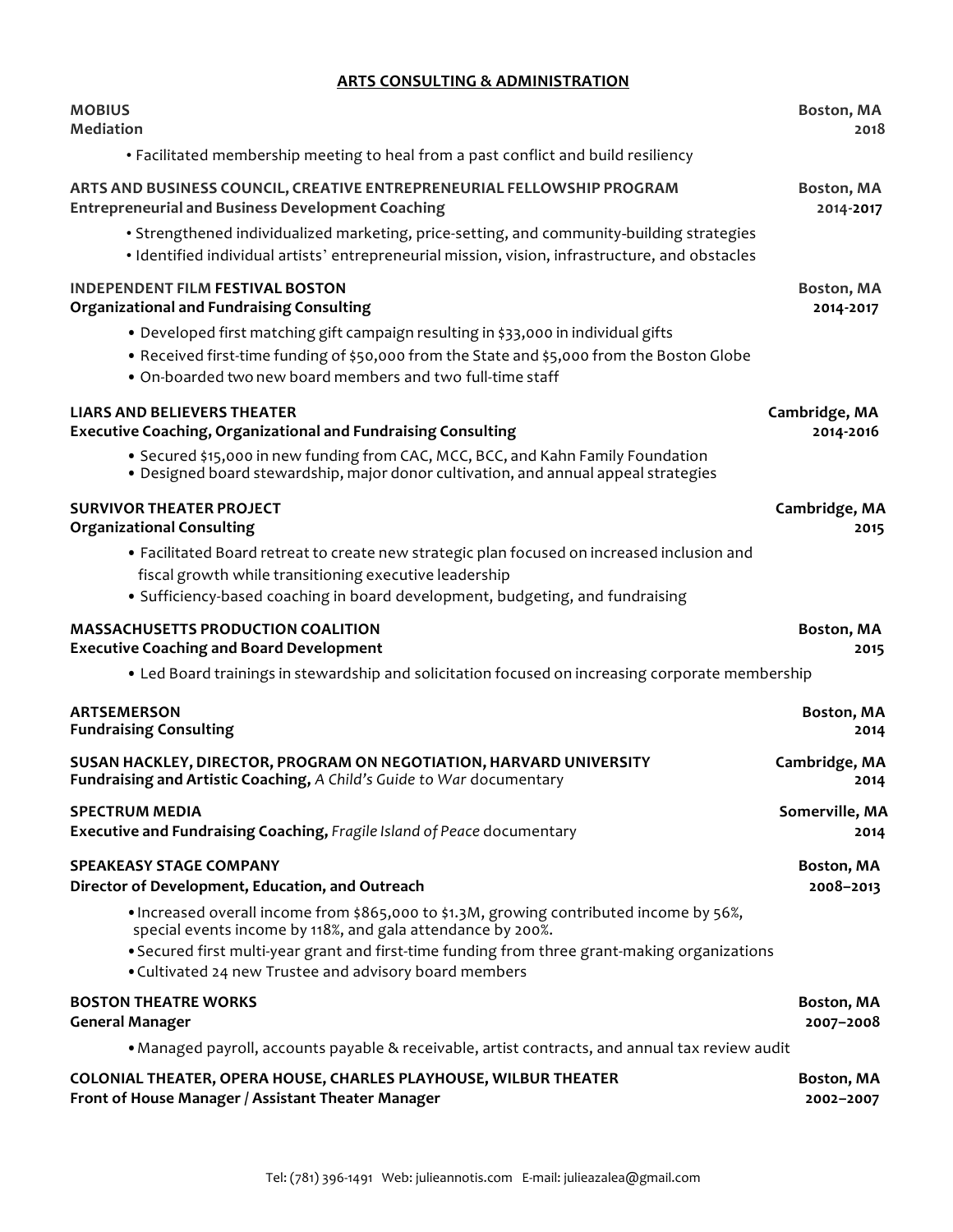# **ARTS CONSULTING & ADMINISTRATION**

| <b>MOBIUS</b>                                                                                                                                                                                                                                                                                                     | Boston, MA     |
|-------------------------------------------------------------------------------------------------------------------------------------------------------------------------------------------------------------------------------------------------------------------------------------------------------------------|----------------|
| <b>Mediation</b>                                                                                                                                                                                                                                                                                                  | 2018           |
| • Facilitated membership meeting to heal from a past conflict and build resiliency                                                                                                                                                                                                                                |                |
| ARTS AND BUSINESS COUNCIL, CREATIVE ENTREPRENEURIAL FELLOWSHIP PROGRAM                                                                                                                                                                                                                                            | Boston, MA     |
| <b>Entrepreneurial and Business Development Coaching</b>                                                                                                                                                                                                                                                          | 2014-2017      |
| • Strengthened individualized marketing, price-setting, and community-building strategies<br>· Identified individual artists' entrepreneurial mission, vision, infrastructure, and obstacles                                                                                                                      |                |
| <b>INDEPENDENT FILM FESTIVAL BOSTON</b>                                                                                                                                                                                                                                                                           | Boston, MA     |
| <b>Organizational and Fundraising Consulting</b>                                                                                                                                                                                                                                                                  | 2014-2017      |
| . Developed first matching gift campaign resulting in \$33,000 in individual gifts<br>. Received first-time funding of \$50,000 from the State and \$5,000 from the Boston Globe<br>. On-boarded two new board members and two full-time staff                                                                    |                |
| <b>LIARS AND BELIEVERS THEATER</b>                                                                                                                                                                                                                                                                                | Cambridge, MA  |
| <b>Executive Coaching, Organizational and Fundraising Consulting</b>                                                                                                                                                                                                                                              | 2014-2016      |
| • Secured \$15,000 in new funding from CAC, MCC, BCC, and Kahn Family Foundation<br>. Designed board stewardship, major donor cultivation, and annual appeal strategies                                                                                                                                           |                |
| <b>SURVIVOR THEATER PROJECT</b>                                                                                                                                                                                                                                                                                   | Cambridge, MA  |
| <b>Organizational Consulting</b>                                                                                                                                                                                                                                                                                  | 2015           |
| • Facilitated Board retreat to create new strategic plan focused on increased inclusion and<br>fiscal growth while transitioning executive leadership<br>• Sufficiency-based coaching in board development, budgeting, and fundraising                                                                            |                |
| <b>MASSACHUSETTS PRODUCTION COALITION</b>                                                                                                                                                                                                                                                                         | Boston, MA     |
| <b>Executive Coaching and Board Development</b>                                                                                                                                                                                                                                                                   | 2015           |
| • Led Board trainings in stewardship and solicitation focused on increasing corporate membership                                                                                                                                                                                                                  |                |
| <b>ARTSEMERSON</b>                                                                                                                                                                                                                                                                                                | Boston, MA     |
| <b>Fundraising Consulting</b>                                                                                                                                                                                                                                                                                     | 2014           |
| SUSAN HACKLEY, DIRECTOR, PROGRAM ON NEGOTIATION, HARVARD UNIVERSITY                                                                                                                                                                                                                                               | Cambridge, MA  |
| Fundraising and Artistic Coaching, A Child's Guide to War documentary                                                                                                                                                                                                                                             | 2014           |
| <b>SPECTRUM MEDIA</b>                                                                                                                                                                                                                                                                                             | Somerville, MA |
| Executive and Fundraising Coaching, Fragile Island of Peace documentary                                                                                                                                                                                                                                           | 2014           |
| <b>SPEAKEASY STAGE COMPANY</b>                                                                                                                                                                                                                                                                                    | Boston, MA     |
| Director of Development, Education, and Outreach                                                                                                                                                                                                                                                                  | 2008-2013      |
| • Increased overall income from \$865,000 to \$1.3M, growing contributed income by 56%,<br>special events income by 118%, and gala attendance by 200%.<br>. Secured first multi-year grant and first-time funding from three grant-making organizations<br>• Cultivated 24 new Trustee and advisory board members |                |
| <b>BOSTON THEATRE WORKS</b>                                                                                                                                                                                                                                                                                       | Boston, MA     |
| <b>General Manager</b>                                                                                                                                                                                                                                                                                            | 2007-2008      |
| • Managed payroll, accounts payable & receivable, artist contracts, and annual tax review audit                                                                                                                                                                                                                   |                |
| <b>COLONIAL THEATER, OPERA HOUSE, CHARLES PLAYHOUSE, WILBUR THEATER</b>                                                                                                                                                                                                                                           | Boston, MA     |
| Front of House Manager / Assistant Theater Manager                                                                                                                                                                                                                                                                | 2002-2007      |